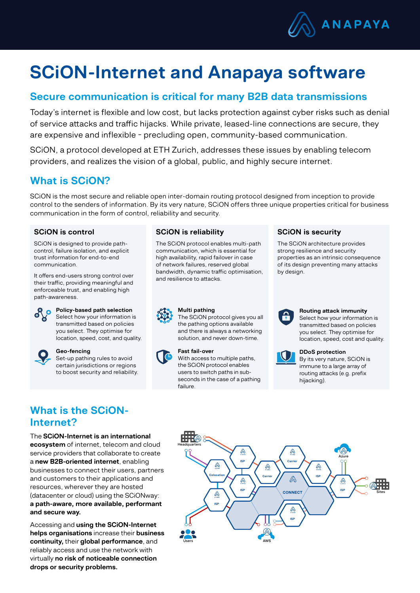

# SCiON-Internet and Anapaya software

### Secure communication is critical for many B2B data transmissions

Today's internet is flexible and low cost, but lacks protection against cyber risks such as denial of service attacks and traffic hijacks. While private, leased-line connections are secure, they are expensive and inflexible − precluding open, community-based communication.

SCiON, a protocol developed at ETH Zurich, addresses these issues by enabling telecom providers, and realizes the vision of a global, public, and highly secure internet.

### What is SCiON?

SCiON is the most secure and reliable open inter-domain routing protocol designed from inception to provide control to the senders of information. By its very nature, SCiON offers three unique properties critical for business communication in the form of control, reliability and security.

### SCiON is control

SCiON is designed to provide pathcontrol, failure isolation, and explicit trust information for end-to-end communication.

It offers end-users strong control over their traffic, providing meaningful and enforceable trust, and enabling high path-awareness.



# **Policy-based path selection**

Select how your information is transmitted based on policies you select. They optimise for location, speed, cost, and quality.



### Geo-fencing

Set-up pathing rules to avoid certain jurisdictions or regions to boost security and reliability.

### SCiON is reliability

The SCiON protocol enables multi-path communication, which is essential for high availability, rapid failover in case of network failures, reserved global bandwidth, dynamic traffic optimisation, and resilience to attacks.

### SCiON is security

The SCiON architecture provides strong resilience and security properties as an intrinsic consequence of its design preventing many attacks by design.



#### Multi pathing

The SCiON protocol gives you all the pathing options available and there is always a networking solution, and never down-time.



#### Fast fail-over

With access to multiple paths. the SCiON protocol enables users to switch paths in subseconds in the case of a pathing failure.



#### Routing attack immunity

Select how your information is transmitted based on policies you select. They optimise for location, speed, cost and quality.



#### DDoS protection

By its very nature, SCiON is immune to a large array of routing attacks (e.g. prefix hijacking).

## What is the SCiON-Internet?

The SCiON-Internet is an international ecosystem of internet, telecom and cloud service providers that collaborate to create a new B2B-oriented internet, enabling businesses to connect their users, partners and customers to their applications and resources, wherever they are hosted (datacenter or cloud) using the SCiONway: a path-aware, more available, performant and secure way.

Accessing and using the SCiON-Internet helps organisations increase their business continuity, their global performance, and reliably access and use the network with virtually no risk of noticeable connection drops or security problems.